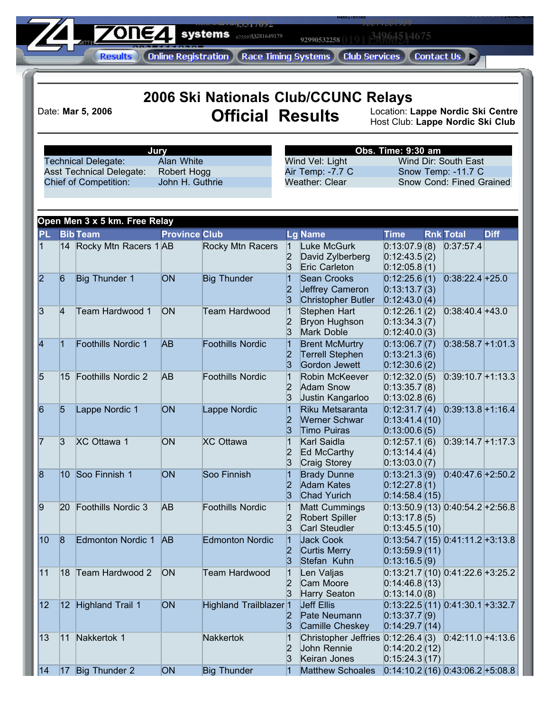**61483517092 93579357959 187719 106 116 24 Systems**  $(7559733281649179)$ **66859529306 41667559713**

**68479710079**

**52459305513**

**71998343588**

0134964514675 **92990532258**

**04802789388**

**[8](http://www.zone4.ca/resulthome.asp)886644488866**<br>**8 Apline Registration L. Race Timing Syste** 

**28795713518**

**44164714137**

**71404543604 93740705948**

|                |                |                                                               |                      | 2006 Ski Nationals Club/CCUNC Relays |                                           |                                                                                       |                                                                       |                                  |             |
|----------------|----------------|---------------------------------------------------------------|----------------------|--------------------------------------|-------------------------------------------|---------------------------------------------------------------------------------------|-----------------------------------------------------------------------|----------------------------------|-------------|
|                |                | Date: Mar 5, 2006                                             |                      | <b>Official Results</b>              |                                           |                                                                                       | Location: Lappe Nordic Ski Centre<br>Host Club: Lappe Nordic Ski Club |                                  |             |
|                |                |                                                               | Jury<br>Alan White   |                                      |                                           |                                                                                       | Obs. Time: 9:30 am                                                    | Wind Dir: South East             |             |
|                |                | <b>Technical Delegate:</b><br><b>Asst Technical Delegate:</b> | Robert Hogg          |                                      |                                           | Wind Vel: Light<br>Air Temp: -7.7 C                                                   |                                                                       | Snow Temp: -11.7 C               |             |
|                |                | <b>Chief of Competition:</b>                                  | John H. Guthrie      |                                      |                                           | Weather: Clear                                                                        |                                                                       | Snow Cond: Fined Grained         |             |
|                |                | Open Men 3 x 5 km. Free Relay                                 |                      |                                      |                                           |                                                                                       |                                                                       |                                  |             |
| <b>PL</b>      |                | <b>Bib Team</b>                                               | <b>Province Club</b> |                                      |                                           | <b>Lg Name</b>                                                                        | <b>Time</b>                                                           | <b>Rnk Total</b>                 | <b>Diff</b> |
| $\overline{1}$ |                | 14 Rocky Mtn Racers 1 AB                                      |                      | Rocky Mtn Racers                     | 1<br>$\overline{2}$<br>3                  | Luke McGurk<br>David Zylberberg<br>Eric Carleton                                      | 0:13:07.9(8)<br>0:12:43.5(2)<br>0:12:05.8(1)                          | 0:37:57.4                        |             |
| 2              | 6              | Big Thunder 1                                                 | ON                   | <b>Big Thunder</b>                   | 2<br>3                                    | Sean Crooks<br>Jeffrey Cameron<br>Christopher Butler                                  | 0:12:25.6(1)<br>0:13:13.7(3)<br>0:12:43.0(4)                          | $0:38:22.4+25.0$                 |             |
| 3              | 4              | Team Hardwood 1                                               | <b>ON</b>            | Team Hardwood                        | $\vert$ 1<br>$\overline{\mathbf{2}}$<br>3 | Stephen Hart<br>Bryon Hughson<br><b>Mark Doble</b>                                    | 0:12:26.1(2)<br>0:13:34.3(7)<br>0:12:40.0(3)                          | $0:38:40.4$ +43.0                |             |
| 4              | $\overline{1}$ | Foothills Nordic 1                                            | <b>AB</b>            | Foothills Nordic                     | 1<br> 2 <br>3                             | <b>Brent McMurtry</b><br><b>Terrell Stephen</b><br>Gordon Jewett                      | 0:13:06.7(7)<br>0:13:21.3(6)<br>0:12:30.6(2)                          | $0:38:58.7+1:01.3$               |             |
| 5              | 15             | <b>Foothills Nordic 2</b>                                     | AB                   | Foothills Nordic                     | $\vert$ 1<br> 2 <br>3                     | Robin McKeever<br><b>Adam Snow</b><br>Justin Kangarloo                                | 0:12:32.0(5)<br>0:13:35.7(8)<br>0:13:02.8(6)                          | $0:39:10.7+1:13.3$               |             |
| 6              | 5              | Lappe Nordic 1                                                | ON                   | Lappe Nordic                         | 1<br> 2<br>3                              | Riku Metsaranta<br><b>Werner Schwar</b><br><b>Timo Puiras</b>                         | 0:12:31.7(4)<br>0:13:41.4(10)<br>0:13:00.6(5)                         | $0:39:13.8+1:16.4$               |             |
| 7              | 3              | XC Ottawa 1                                                   | ON                   | <b>XC Ottawa</b>                     | $\vert$ 1<br>$\overline{\mathbf{2}}$<br>3 | Karl Saidla<br>Ed McCarthy<br>Craig Storey                                            | 0:12:57.1(6)<br>0:13:14.4(4)<br>0:13:03.0(7)                          | $0:39:14.7+1:17.3$               |             |
| 8              |                | 10 Soo Finnish 1                                              | ON                   | Soo Finnish                          | 2<br>3                                    | <b>Brady Dunne</b><br>Adam Kates<br><b>Chad Yurich</b>                                | 0:13:21.3 (9)<br>0:12:27.8(1)<br>0:14:58.4(15)                        | $0:40:47.6+2:50.2$               |             |
| 9              |                | 20 Foothills Nordic 3                                         | AB                   | Foothills Nordic                     | $\vert$ 1<br> 2<br>3                      | <b>Matt Cummings</b><br>Robert Spiller<br>Carl Steudler                               | 0:13:17.8(5)<br>0:13:45.5(10)                                         | $0:13:50.9(13)0:40:54.2+2:56.8$  |             |
| 10             | 8              | <b>Edmonton Nordic 1</b>                                      | <b>AB</b>            | <b>Edmonton Nordic</b>               | $\vert$ 1<br> 2 <br>3                     | <b>Jack Cook</b><br>Curtis Merry<br>Stefan Kuhn                                       | 0:13:59.9(11)<br>0:13:16.5(9)                                         | $0:13:54.7(15)0:41:11.2+3:13.8$  |             |
| 11             | 18             | Team Hardwood 2                                               | <b>ON</b>            | <b>Team Hardwood</b>                 | 11<br> 2 <br>3                            | Len Valjas<br>Cam Moore<br>Harry Seaton                                               | 0:14:46.8(13)<br>0:13:14.0(8)                                         | $0:13:21.7(10)0:41:22.6+3.25.2$  |             |
| 12             |                | 12 Highland Trail 1                                           | <b>ON</b>            | Highland Trailblazer 1               | $\vert 2 \vert$<br>3                      | Jeff Ellis<br>Pate Neumann<br>Camille Cheskey                                         | 0:13:37.7(9)<br>0:14:29.7(14)                                         | $0:13:22.5(11) 0:41:30.1+3:32.7$ |             |
| 13             | 11             | Nakkertok 1                                                   |                      | Nakkertok                            | $\vert$ 1<br> 2 <br>3                     | Christopher Jeffries $0:12:26.4(3)$ $0:42:11.0+4:13.6$<br>John Rennie<br>Keiran Jones | 0:14:20.2(12)<br>0:15:24.3(17)                                        |                                  |             |
| $\vert$ 14     | 17             | Big Thunder 2                                                 | <b>ON</b>            | <b>Big Thunder</b>                   | 11                                        | Matthew Schoales                                                                      |                                                                       | $0:14:10.2(16)0:33:06.2+5:08.8$  |             |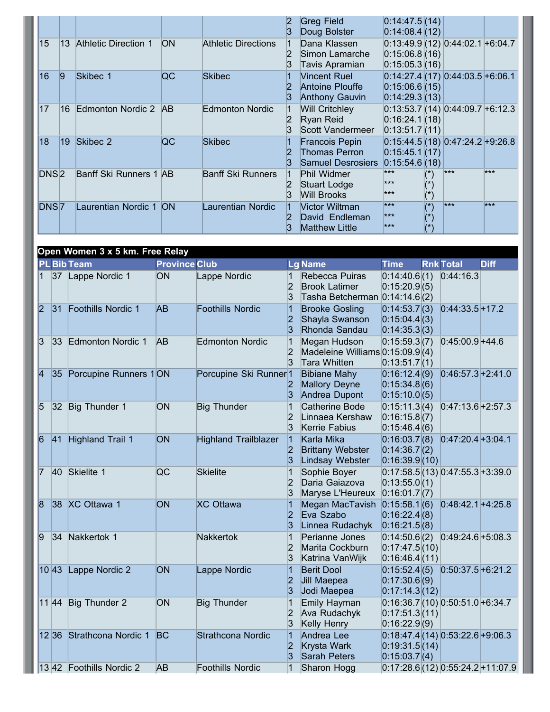|                  |    |                         |           |                     |    | Greg Field<br>Doug Bolster                                | 0:14:47.5(14)<br>0:14:08.4(12)                                             |                                |       |       |
|------------------|----|-------------------------|-----------|---------------------|----|-----------------------------------------------------------|----------------------------------------------------------------------------|--------------------------------|-------|-------|
| 15               | 13 | Athletic Direction 1    | <b>ON</b> | Athletic Directions |    | Dana Klassen<br>Simon Lamarche<br>Tavis Apramian          | $0:13:49.9(12)$ 0:44:02.1 +6:04.7<br>0:15:06.8(16)<br>0:15:05.3(16)        |                                |       |       |
| 16               | 9  | Skibec 1                | QC        | Skibec              |    | Vincent Ruel<br>Antoine Plouffe<br><b>Anthony Gauvin</b>  | $0:14:27.4(17)0:44:03.5+6:06.1$<br>0:15:06.6(15)<br>$ 0:14:29.3 13\rangle$ |                                |       |       |
| $\overline{17}$  |    | 16 Edmonton Nordic 2 AB |           | Edmonton Nordic     |    | <b>Will Critchley</b><br>Ryan Reid<br>Scott Vandermeer    | $0:13:53.7(14)0:44:09.7+6:12.3$<br>0:16:24.1(18)<br>0:13:51.7(11)          |                                |       |       |
| 18               | 19 | Skibec 2                | QC        | Skibec              | 12 | Francois Pepin<br>Thomas Perron<br>Samuel Desrosiers      | $0:15:44.5(18)0:47:24.2+9:26.8$<br>0:15:45.1(17)<br>0:15:54.6(18)          |                                |       |       |
| DNS <sub>2</sub> |    | Banff Ski Runners 1 AB  |           | Banff Ski Runners   |    | Phil Widmer<br>Stuart Lodge<br>Will Brooks                | $***$<br>$***$<br>$***$                                                    | $(\star)$<br>$(\hbox{}^\star)$ | $***$ | $***$ |
| DNS <sub>7</sub> |    | Laurentian Nordic 1 ON  |           | aurentian Nordic    |    | Victor Wiltman<br>David Endleman<br><b>Matthew Little</b> | $***$<br>$***$<br>$***$                                                    | (x)<br>$(*)$<br>$(*)$          | $***$ | ***   |

|                |              | Open Women 3 x 5 km. Free Relay |                      |                                   |                                           |                                                                           |                                                |                                     |             |
|----------------|--------------|---------------------------------|----------------------|-----------------------------------|-------------------------------------------|---------------------------------------------------------------------------|------------------------------------------------|-------------------------------------|-------------|
|                |              | <b>PL Bib Team</b>              | <b>Province Club</b> |                                   |                                           | <b>Lg Name</b>                                                            | <b>Time</b>                                    | <b>Rnk Total</b>                    | <b>Diff</b> |
| $\vert$ 1      |              | 37 Lappe Nordic 1               | ON                   | Lappe Nordic                      | 1<br>2<br>3                               | Rebecca Puiras<br><b>Brook Latimer</b><br>Tasha Betcherman $0:14:14.6(2)$ | 0:14:40.6(1)<br>0:15:20.9(5)                   | 0:44:16.3                           |             |
| 2              | $ 31\rangle$ | Foothills Nordic 1              | <b>AB</b>            | <b>Foothills Nordic</b>           | $\overline{1}$<br>2<br>3                  | <b>Brooke Gosling</b><br>Shayla Swanson<br>Rhonda Sandau                  | 0:14:53.7(3)<br>0:15:04.4(3)<br>0:14:35.3(3)   | $0:44:33.5+17.2$                    |             |
| $\overline{3}$ | $ 33\rangle$ | Edmonton Nordic 1               | <b>AB</b>            | Edmonton Nordic                   | $\vert$ 1<br>2<br>ß.                      | Megan Hudson<br>Madeleine Williams $0:15:09.9(4)$<br>Tara Whitten         | 0:15:59.3(7)<br>0:13:51.7(1)                   | $0:45:00.9+44.6$                    |             |
| $\overline{4}$ | 35           | Porcupine Runners 1ON           |                      | Porcupine Ski Runner <sup>1</sup> | $\overline{\mathbf{2}}$<br>3              | <b>Bibiane Mahy</b><br><b>Mallory Deyne</b><br>Andrea Dupont              | 0:16:12.4(9)<br>0:15:34.8(6)<br>0:15:10.0(5)   | $0:46:57.3+2:41.0$                  |             |
| $\overline{5}$ | 32           | Big Thunder 1                   | <b>ON</b>            | <b>Big Thunder</b>                | $\vert$ 1<br>2<br>ß.                      | <b>Catherine Bode</b><br>Linnaea Kershaw<br>Kerrie Fabius                 | 0:15:11.3(4)<br>0:16:15.8(7)<br>0:15:46.4(6)   | $0:47:13.6+2:57.3$                  |             |
| $\overline{6}$ | 41           | Highland Trail 1                | <b>ON</b>            | <b>Highland Trailblazer</b>       | $\vert$ 1<br>2<br>3                       | Karla Mika<br><b>Brittany Webster</b><br>Lindsay Webster                  | 0:16:03.7(8)<br>0:14:36.7(2)<br>0:16:39.9(10)  | $0:47:20.4+3:04.1$                  |             |
| 17             | 40           | Skielite 1                      | <b>QC</b>            | <b>Skielite</b>                   | $\vert$ 1<br>2<br>3                       | Sophie Boyer<br>Daria Gaiazova<br>Maryse L'Heureux                        | 0:13:55.0(1)<br>0:16:01.7(7)                   | $0:17:58.5(13) 0:47:55.3+3:39.0$    |             |
| 8              |              | 38 XC Ottawa 1                  | <b>ON</b>            | <b>XC Ottawa</b>                  | $\vert$ 1<br>2<br>3                       | Megan MacTavish<br>Eva Szabo<br>Linnea Rudachyk                           | 0:15:58.1(6)<br>0:16:22.4(8)<br>0:16:21.5(8)   | $0:48:42.1+4:25.8$                  |             |
| 9              | 34           | Nakkertok 1                     |                      | Nakkertok                         | $\vert$ 1<br>2<br>3                       | Perianne Jones<br>Marita Cockburn<br>Katrina VanWijk                      | 0:14:50.6(2)<br>0:17:47.5(10)<br>0:16:46.4(11) | $0.49:24.6+5.08.3$                  |             |
|                | 1043         | Lappe Nordic 2                  | ON                   | Lappe Nordic                      | $\overline{1}$<br>2<br>3                  | <b>Berit Dool</b><br>Jill Maepea<br>Jodi Maepea                           | 0:15:52.4(5)<br>0:17:30.6(9)<br>0:17:14.3(12)  | $0:50:37.5+6:21.2$                  |             |
|                | 11 44        | Big Thunder 2                   | <b>ON</b>            | <b>Big Thunder</b>                | $\vert$ 1<br>$\overline{\mathbf{2}}$<br>3 | Emily Hayman<br>Ava Rudachyk<br>Kelly Henry                               | 0:17:51.3(11)<br>0:16:22.9(9)                  | $0:16:36.7(10)$ 0:50:51.0 + 6:34.7  |             |
|                | 12 36        | Strathcona Nordic 1             | <b>BC</b>            | Strathcona Nordic                 | $\vert$ 1<br>2<br>3                       | Andrea Lee<br>Krysta Wark<br><b>Sarah Peters</b>                          | 0:19:31.5(14)<br>0:15:03.7(4)                  | $0:18:47.4(14)$ 0:53:22.6+9:06.3    |             |
|                |              | 13 42 Foothills Nordic 2        | <b>AB</b>            | <b>Foothills Nordic</b>           | 1                                         | Sharon Hogg                                                               |                                                | $0:17:28.6(12)$ 0:55:24.2 + 11:07.9 |             |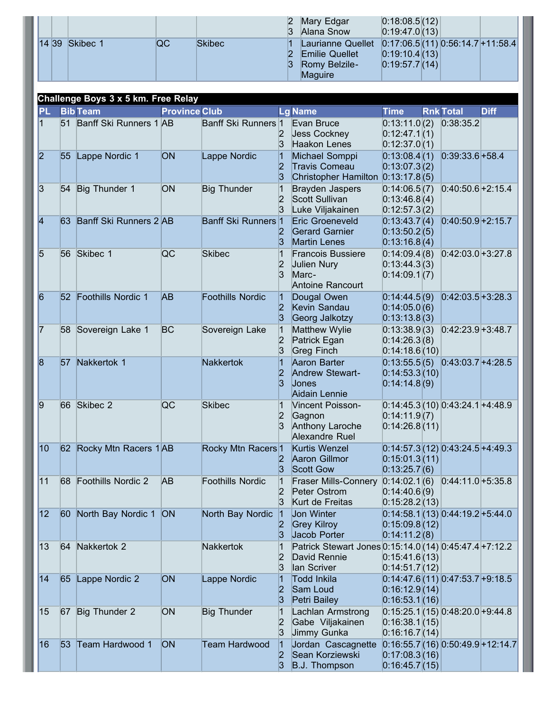|       |          |    |               | $\overline{3}$ | Mary Edgar<br>Alana Snow                                                                              | 0:18:08.5 (12) <br> 0.19:47.0(13)  |  |  |
|-------|----------|----|---------------|----------------|-------------------------------------------------------------------------------------------------------|------------------------------------|--|--|
| 14 39 | Skibec 1 | QC | <b>Skibec</b> | 3              | Laurianne Quellet $ 0.17:06.5 (11) 0.56:14.7 +11.58.4 $<br>Emilie Quellet<br>Romy Belzile-<br>Maguire | 0.19:10.4 (13) <br> 0:19:57.7 (14) |  |  |
|       |          |    |               |                |                                                                                                       |                                    |  |  |

| <b>PL</b>       |                 | <b>Bib Team</b>           | <b>Province Club</b> |                         |                                        | <b>Lg Name</b>                                                                          | <b>Time</b>                                   | <b>Rnk Total</b>                   | <b>Diff</b> |
|-----------------|-----------------|---------------------------|----------------------|-------------------------|----------------------------------------|-----------------------------------------------------------------------------------------|-----------------------------------------------|------------------------------------|-------------|
| $\vert$ 1       |                 | 51 Banff Ski Runners 1 AB |                      | Banff Ski Runners 1     | $\overline{2}$<br>3                    | Evan Bruce<br><b>Jess Cockney</b><br>Haakon Lenes                                       | 0:13:11.0(2)<br>0:12:47.1(1)<br>0:12:37.0(1)  | 0:38:35.2                          |             |
| 2               | $ 55\rangle$    | Lappe Nordic 1            | ON                   | Lappe Nordic            | 2 <br>3                                | Michael Somppi<br>Travis Comeau<br>Christopher Hamilton $[0:13:17.8]$ (5)               | 0:13:08.4(1)<br>0:13:07.3(2)                  | $0:39:33.6+58.4$                   |             |
| $\overline{3}$  | 54              | Big Thunder 1             | ON                   | <b>Big Thunder</b>      | 1<br>$\overline{2}$<br>$\vert 3 \vert$ | <b>Brayden Jaspers</b><br>Scott Sullivan<br>Luke Viljakainen                            | 0:14:06.5(7)<br>0:13:46.8(4)<br>0:12:57.3(2)  | $0:40:50.6+2:15.4$                 |             |
| 4               |                 | 63 Banff Ski Runners 2 AB |                      | Banff Ski Runners 1     | 12<br> 3                               | Eric Groeneveld<br><b>Gerard Garnier</b><br><b>Martin Lenes</b>                         | 0:13:43.7(4)<br>0:13:50.2(5)<br>0:13:16.8(4)  | $0:40:50.9+2:15.7$                 |             |
| 5               |                 | 56 Skibec 1               | QC                   | <b>Skibec</b>           | $\vert$ 1<br> 2 <br>$\mathbf{3}$       | <b>Francois Bussiere</b><br>Julien Nury<br>Marc-<br>Antoine Rancourt                    | 0:14:09.4(8)<br>0:13:44.3(3)<br>0:14:09.1(7)  | $0:42:03.0+3:27.8$                 |             |
| $\vert 6 \vert$ |                 | 52 Foothills Nordic 1     | AB                   | <b>Foothills Nordic</b> | $ 1\rangle$<br> 2 <br> 3               | Dougal Owen<br>Kevin Sandau<br>Georg Jalkotzy                                           | 0:14:44.5(9)<br>0:14:05.0(6)<br>0:13:13.8(3)  | $0:42:03.5+3:28.3$                 |             |
| 17              |                 | 58 Sovereign Lake 1       | BC                   | Sovereign Lake          | 1<br> 2 <br> 3                         | Matthew Wylie<br>Patrick Egan<br>Greg Finch                                             | 0:13:38.9(3)<br>0:14:26.3(8)<br>0:14:18.6(10) | $0.42:23.9+3.48.7$                 |             |
| 8               | 57              | Nakkertok 1               |                      | <b>Nakkertok</b>        | $\overline{1}$<br>12<br> 3             | Aaron Barter<br>Andrew Stewart-<br>Jones<br>Aidain Lennie                               | 0:13:55.5(5)<br>0:14:53.3(10)<br>0:14:14.8(9) | $0:43:03.7+4:28.5$                 |             |
| 9               |                 | 66 Skibec 2               | QC                   | <b>Skibec</b>           | $\vert$ 1<br> 2                        | Vincent Poisson-<br>Gagnon<br>Anthony Laroche<br>Alexandre Ruel                         | 0:14:11.9(7)<br>0:14:26.8(11)                 | $0:14:45.3(10)$ 0:43:24.1 +4:48.9  |             |
| 10              |                 | 62 Rocky Mtn Racers 1AB   |                      | Rocky Mtn Racers 1      | 3                                      | Kurtis Wenzel<br>Aaron Gillmor<br><b>Scott Gow</b>                                      | 0:15:01.3(11)<br>0:13:25.7(6)                 | $0:14:57.3(12)$ 0:43:24.5 +4:49.3  |             |
| 11              |                 | 68 Foothills Nordic 2     | AВ                   | <b>Foothills Nordic</b> | $\vert$ 1<br>12<br>$\mathbf{3}$        | Fraser Mills-Connery 0:14:02.1 (6) 0:44:11.0 +5:35.8<br>Peter Ostrom<br>Kurt de Freitas | 0:14:40.6(9)<br>0:15:28.2(13)                 |                                    |             |
| 12              |                 | 60 North Bay Nordic 1     | <b>ON</b>            | North Bay Nordic        | 1<br>$\mathbf{2}$<br>13                | Jon Winter<br><b>Grey Kilroy</b><br>Jacob Porter                                        | 0:15:09.8(12)<br>0:14:11.2(8)                 | $0:14:58.1(13)0:44:19.2+5:44.0$    |             |
| 13              | $ 64\rangle$    | Nakkertok 2               |                      | <b>Nakkertok</b>        | 1<br>$\overline{2}$<br>13              | Patrick Stewart Jones 0:15:14.0 (14) 0:45:47.4 + 7:12.2<br>David Rennie<br>lan Scriver  | 0:15:41.6(13)<br>0:14:51.7(12)                |                                    |             |
| 14              | 65              | Lappe Nordic 2            | ON                   | Lappe Nordic            | $\vert$ 1<br> 2 <br>3                  | Todd Inkila<br>Sam Loud<br>Petri Bailey                                                 | 0:16:12.9(14)<br>0:16:53.1(16)                | $0:14:47.6(11)$ 0:47:53.7 + 9:18.5 |             |
| 15              | 67              | Big Thunder 2             | ON                   | <b>Big Thunder</b>      | 1<br> 2 <br>3                          | Lachlan Armstrong<br>Gabe Viljakainen<br>Jimmy Gunka                                    | 0:16:38.1(15)<br>0:16:16.7(14)                | $0:15:25.1(15)0:38:20.0+9:44.8$    |             |
| 16              | 53 <sub>1</sub> | Team Hardwood 1           | <b>ON</b>            | <b>Team Hardwood</b>    | 1<br> 2 <br> 3                         | Jordan Cascagnette<br>Sean Korziewski<br>B.J. Thompson                                  | 0:17:08.3(16)<br>0:16:45.7(15)                | $0:16:55.7(16)0:50:49.9+12:14.7$   |             |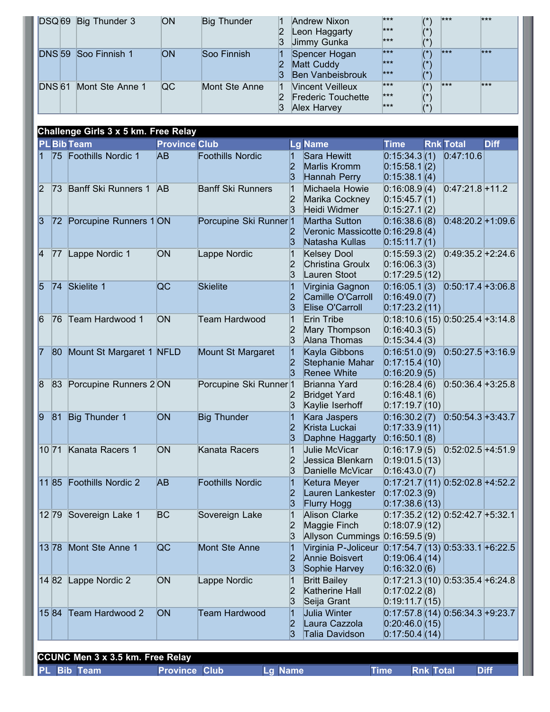|      | DSQ <sub>69</sub> | Big Thunder 3                                              | ON                   | <b>Big Thunder</b>                | 1<br>2<br>3                               | Andrew Nixon<br>Leon Haggarty<br>Jimmy Gunka                                            | $***$<br>***<br>***                           | $(\dot{ }^*)$<br>$(\hbox{}^\star)$<br>$(\dot{ }^*)$   | $***$                             | ***         |
|------|-------------------|------------------------------------------------------------|----------------------|-----------------------------------|-------------------------------------------|-----------------------------------------------------------------------------------------|-----------------------------------------------|-------------------------------------------------------|-----------------------------------|-------------|
|      |                   | DNS 59 Soo Finnish 1                                       | ON                   | Soo Finnish                       | $\vert$ 1<br>$\overline{\mathbf{2}}$<br>3 | Spencer Hogan<br>Matt Cuddy<br>Ben Vanbeisbrouk                                         | ***<br>***<br>***                             | $(\dot{a})$<br>$(\hbox{}^\star)$<br>$(\dot{ }^*)$     | ***                               | ***         |
|      | <b>DNS</b> 61     | Mont Ste Anne 1                                            | QC                   | Mont Ste Anne                     | $\vert$ 1<br>$\overline{\mathbf{2}}$<br>3 | <b>Vincent Veilleux</b><br><b>Frederic Touchette</b><br>Alex Harvey                     | ***<br>***<br>$***$                           | $(\dot{a})$<br>$(\hbox{}^\star)$<br>$(\hbox{}^\star)$ | ***                               | $***$       |
|      |                   | Challenge Girls 3 x 5 km. Free Relay                       |                      |                                   |                                           |                                                                                         |                                               |                                                       |                                   |             |
|      |                   | <b>PL Bib Team</b>                                         | <b>Province Club</b> |                                   |                                           | <b>Lg Name</b>                                                                          | <b>Time</b>                                   |                                                       | <b>Rnk Total</b>                  | <b>Diff</b> |
|      | 75                | Foothills Nordic 1                                         | AB                   | <b>Foothills Nordic</b>           | 2<br>3                                    | Sara Hewitt<br>Marlis Kromm<br>Hannah Perry                                             | 0:15:34.3(1)<br>0:15:58.1(2)<br>0:15:38.1(4)  |                                                       | 0:47:10.6                         |             |
| 2    | 173               | Banff Ski Runners 1                                        | <b>AB</b>            | <b>Banff Ski Runners</b>          | 1<br>2<br>3                               | Michaela Howie<br>Marika Cockney<br>Heidi Widmer                                        | 0:16:08.9(4)<br>0:15:45.7(1)<br>0:15:27.1(2)  |                                                       | $0:47:21.8+11.2$                  |             |
| 13   | 72                | Porcupine Runners 1 ON                                     |                      | Porcupine Ski Runner <sup>1</sup> | 3                                         | Martha Sutton<br>Veronic Massicotte 0:16:29.8 (4)<br>Natasha Kullas                     | 0:16:38.6(8)<br>0:15:11.7(1)                  |                                                       | $0.48:20.2+1:09.6$                |             |
| 14   | 77                | Lappe Nordic 1                                             | <b>ON</b>            | Lappe Nordic                      | $\overline{\mathbf{2}}$<br>3              | <b>Kelsey Dool</b><br>Christina Groulx<br>Lauren Stoot                                  | 0:15:59.3(2)<br>0:16:06.3(3)<br>0:17:29.5(12) |                                                       | $0:49:35.2+2:24.6$                |             |
| 5    | 74                | Skielite 1                                                 | <b>QC</b>            | Skielite                          | $\overline{\mathbf{2}}$<br>3              | Virginia Gagnon<br>Camille O'Carroll<br>Elise O'Carroll                                 | 0:16:05.1(3)<br>0:16:49.0(7)<br>0:17:23.2(11) |                                                       | $0:50:17.4+3:06.8$                |             |
| 6    | 76                | Team Hardwood 1                                            | <b>ON</b>            | <b>Team Hardwood</b>              | 1<br>3                                    | Erin Tribe<br>Mary Thompson<br>Alana Thomas                                             | 0:16:40.3(5)<br>0:15:34.4(3)                  |                                                       | $0:18:10.6(15)0:50:25.4+3:14.8$   |             |
| 17   | $ 80\rangle$      | Mount St Margaret 1 NFLD                                   |                      | Mount St Margaret                 | 1<br> 3                                   | Kayla Gibbons<br>Stephanie Mahar<br><b>Renee White</b>                                  | 0:16:51.0(9)<br>0:17:15.4(10)<br>0:16:20.9(5) |                                                       | $0:50:27.5+3:16.9$                |             |
| 8    | 83                | Porcupine Runners 2 ON                                     |                      | Porcupine Ski Runner <sup>1</sup> | 3                                         | Brianna Yard<br><b>Bridget Yard</b><br>Kaylie Iserhoff                                  | 0:16:28.4(6)<br>0:16:48.1(6)<br>0:17:19.7(10) |                                                       | $0:50:36.4 + 3:25.8$              |             |
| a    |                   | 81 Big Thunder 1                                           | ON                   | <b>Big Thunder</b>                | 1<br>2<br>3                               | Kara Jaspers<br>Krista Luckai<br>Daphne Haggarty                                        | 0:17:33.9(11)<br>0:16:50.1(8)                 |                                                       | $0:16:30.2(7)$ $0:50:54.3+3:43.7$ |             |
|      |                   | 10 71 Kanata Racers 1                                      | <b>ON</b>            | Kanata Racers                     | $\vert$ 1<br>2<br>3                       | Julie McVicar<br>Jessica Blenkarn<br>Danielle McVicar                                   | 0:19:01.5(13)<br>0:16:43.0(7)                 |                                                       | $0:16:17.9(5)$ $0:52:02.5+4:51.9$ |             |
|      |                   | 11 85 Foothills Nordic 2                                   | AB                   | <b>Foothills Nordic</b>           | 1<br>2<br>3                               | Ketura Meyer<br>Lauren Lankester<br>Flurry Hogg                                         | 0:17:02.3(9)<br>0:17:38.6(13)                 |                                                       | $0:17:21.7(11)0:52:02.8+4:52.2$   |             |
|      |                   | 12 79 Sovereign Lake 1                                     | BC                   | Sovereign Lake                    | 1<br>$\overline{2}$<br>3                  | Alison Clarke<br>Maggie Finch<br>Allyson Cummings $0:16:59.5(9)$                        | 0:18:07.9(12)                                 |                                                       | $0:17:35.2(12)0:52:42.7+5:32.1$   |             |
|      |                   | 13 78 Mont Ste Anne 1                                      | QC                   | Mont Ste Anne                     | 1<br>$\overline{\mathbf{2}}$<br>3         | Virginia P-Joliceur 0:17:54.7 (13) 0:53:33.1 +6:22.5<br>Annie Boisvert<br>Sophie Harvey | 0:19:06.4(14)<br>0:16:32.0(6)                 |                                                       |                                   |             |
|      |                   | 14 82 Lappe Nordic 2                                       | ON                   | Lappe Nordic                      | $\vert$ 1<br>2<br>3                       | <b>Britt Bailey</b><br>Katherine Hall<br>Seija Grant                                    | 0:17:02.2(8)<br>0:19:11.7(15)                 |                                                       | $0:17:21.3(10)0:53:35.4+6:24.8$   |             |
|      | 1584              | Team Hardwood 2                                            | <b>ON</b>            | <b>Team Hardwood</b>              | 11<br>$\overline{\mathbf{2}}$<br>3        | Julia Winter<br>Laura Cazzola<br>Talia Davidson                                         | 0:20:46.0(15)<br>0:17:50.4(14)                |                                                       | $0:17:57.8(14)0:56:34.3+9:23.7$   |             |
|      |                   |                                                            |                      |                                   |                                           |                                                                                         |                                               |                                                       |                                   |             |
| PL . |                   | <b>CCUNC Men 3 x 3.5 km. Free Relay</b><br><b>Bib Team</b> | <b>Province Club</b> | Lg Name                           |                                           |                                                                                         | <b>Time</b>                                   | <b>Rnk Total</b>                                      |                                   | <b>Diff</b> |